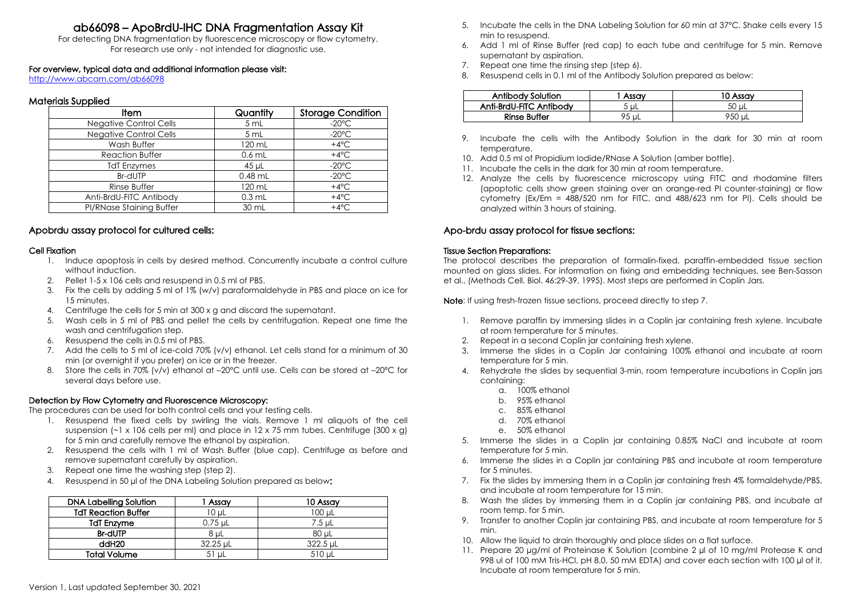# ab66098 – ApoBrdU-IHC DNA Fragmentation Assay Kit

For detecting DNA fragmentation by fluorescence microscopy or flow cytometry. For research use only - not intended for diagnostic use.

#### For overview, typical data and additional information please visit:

<http://www.abcam.com/ab66098>

## Materials Supplied

| ltem                     | Quantity  | Storage Condition |
|--------------------------|-----------|-------------------|
| Negative Control Cells   | 5 mL      | $-20^{\circ}$ C   |
| Negative Control Cells   | 5 mL      | $-20^{\circ}$ C   |
| Wash Buffer              | 120 mL    | $+4^{\circ}C$     |
| <b>Reaction Buffer</b>   | $0.6$ mL  | $+4^{\circ}C$     |
| <b>TdT Enzymes</b>       | 45 µL     | $-20^{\circ}$ C   |
| Br-dUTP                  | $0.48$ mL | $-20^{\circ}$ C   |
| <b>Rinse Buffer</b>      | 120 mL    | $+4^{\circ}C$     |
| Anti-BrdU-FITC Antibody  | $0.3$ mL  | $+4^{\circ}C$     |
| PI/RNase Staining Buffer | 30 mL     | $+4^{\circ}C$     |

## Apobrdu assay protocol for cultured cells:

#### Cell Fixation

- 1. Induce apoptosis in cells by desired method. Concurrently incubate a control culture without induction.
- 2. Pellet 1-5 x 106 cells and resuspend in 0.5 ml of PBS.
- 3. Fix the cells by adding 5 ml of 1% (w/v) paraformaldehyde in PBSand place on ice for 15 minutes.
- 4. Centrifuge the cells for 5 min at 300 x g and discard the supernatant.
- 5. Wash cells in 5 ml of PBSand pellet the cells by centrifugation. Repeat one time the wash and centrifugation step.
- 6. Resuspend the cells in 0.5 ml of PBS.
- 7. Add the cells to 5 ml of ice-cold 70% (v/v) ethanol. Let cells stand for a minimum of 30 min (or overnight if you prefer) on ice or in the freezer.
- 8. Store the cells in 70% (v/v) ethanol at -20°C until use. Cells can be stored at -20°C for several days before use.

### Detection by Flow Cytometry and Fluorescence Microscopy:

The procedures can be used for both control cells and your testing cells.

- 1. Resuspend the fixed cells by swirling the vials. Remove 1 ml aliquots of the cell suspension ( $-1 \times 106$  cells per ml) and place in 12 x 75 mm tubes. Centrifuge (300 x g) for 5 min and carefully remove the ethanol by aspiration.
- 2. Resuspend the cells with 1 ml of Wash Buffer (blue cap). Centrifuge as before and remove supernatant carefully by aspiration.
- 3. Repeat one time the washing step (step 2).
- 4. Resuspend in 50 ul of the DNA Labeling Solution prepared as below:

| <b>DNA Labelling Solution</b> | 1 Assay    | 10 Assay    |
|-------------------------------|------------|-------------|
| <b>TdTReaction Buffer</b>     | $10 \mu L$ | $100 \mu L$ |
| <b>TdT Enzyme</b>             | $0.75$ µL  | 7.5 uL      |
| <b>Br-dUTP</b>                | 8 uL       | 80 uL       |
| ddH <sub>20</sub>             | 32.25 uL   | 322.5 uL    |
| Total Volume                  | 51 uL      | 510 uL      |

- 5. Incubate the cells in the DNA Labeling Solution for 60 min at 37°C. Shake cells every 15 min to resuspend.
- 6. Add 1 ml of Rinse Buffer (red cap) to each tube and centrifuge for 5 min. Remove supernatant by aspiration.
- 7. Repeat one time the rinsing step (step 6).
- 8. Resuspend cells in 0.1 ml of the Antibody Solution prepared as below:

| Antibody<br>Solution    | Assav | 10 Assav |
|-------------------------|-------|----------|
| Anti-BrdU-FITC Antibody | 5 uL  |          |
| <b>Rinse Buffer</b>     | 95 uL | 950 u'   |

- 9. Incubate the cells with the Antibody Solution in the dark for 30 min at room temperature.
- 10. Add 0.5 ml of Propidium Iodide/RNase A Solution (amber bottle).
- 11. Incubate the cells in the dark for 30 min at room temperature.
- 12. Analyze the cells by fluorescence microscopy using FITC and rhodamine filters (apoptotic cells show green staining over an orange-red PI counter-staining) or flow cytometry (Ex/Em = 488/520 nm for FITC, and 488/623 nm for PI). Cells should be analyzed within 3 hours of staining.

# Apo-brdu assay protocol for tissue sections:

## Tissue Section Preparations:

The protocol describes the preparation of formalin-fixed, paraffin-embedded tissue section mounted on glass slides. For information on fixing and embedding techniques, see Ben-Sasson et al., (Methods Cell. Biol. 46:29-39, 1995). Most steps are performed in Coplin Jars.

Note: If using fresh-frozen tissue sections, proceed directly to step 7.

- 1. Remove paraffin by immersing slides in a Coplin jar containing fresh xylene. Incubate at room temperature for 5 minutes.
- 2. Repeat in a second Coplin iar containing fresh xylene.
- 3. Immerse the slides in a Coplin Jar containing 100% ethanol and incubate at room temperature for 5 min.
- 4. Rehydrate the slides by sequential 3-min, room temperature incubations in Coplin jars containing:
	- a. 100% ethanol
	- b. 95% ethanol
	- c. 85% ethanol
	- d. 70% ethanol
	- e. 50% ethanol
- 5. Immerse the slides in a Coplin jar containing 0.85% NaCl and incubate at room temperature for 5 min.
- 6. Immerse the slides in a Coplin jar containing PBSand incubate at room temperature for 5 minutes.
- 7. Fix the slides by immersing them in a Coplin jar containing fresh 4% formaldehyde/PBS, and incubate at room temperature for 15 min.
- 8. Wash the slides by immersing them in a Coplin jar containing PBS,and incubate at room temp. for 5 min.
- 9. Transfer to another Coplin jar containing PBS,and incubate at room temperature for 5 min.
- 10. Allow the liquid to drain thoroughly and place slides on a flat surface.
- 11. Prepare 20 µq/ml of Proteinase K Solution (combine 2 µl of 10 mq/ml Protease K and 998 ul of 100 mM Tris-HCl,pH 8.0, 50 mM EDTA) and cover each section with 100 ul of it. Incubate at room temperature for 5 min.